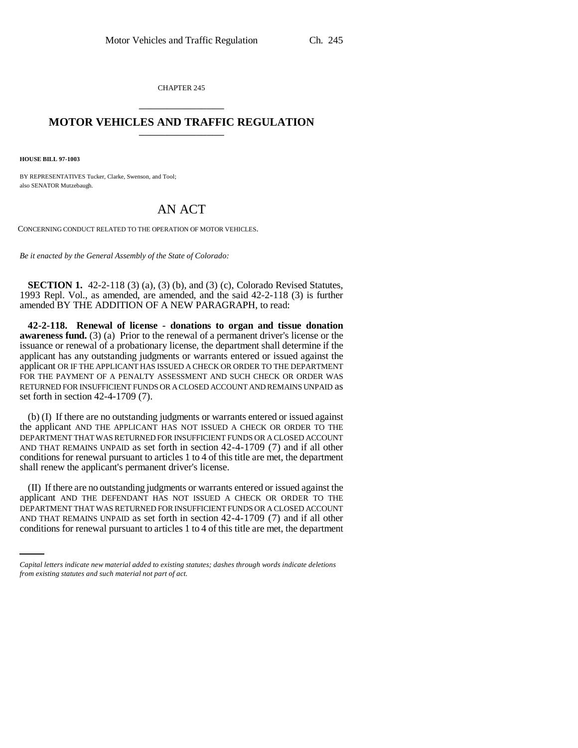CHAPTER 245 \_\_\_\_\_\_\_\_\_\_\_\_\_\_\_

## **MOTOR VEHICLES AND TRAFFIC REGULATION** \_\_\_\_\_\_\_\_\_\_\_\_\_\_\_

**HOUSE BILL 97-1003**

BY REPRESENTATIVES Tucker, Clarke, Swenson, and Tool; also SENATOR Mutzebaugh.

## AN ACT

CONCERNING CONDUCT RELATED TO THE OPERATION OF MOTOR VEHICLES.

*Be it enacted by the General Assembly of the State of Colorado:*

**SECTION 1.** 42-2-118 (3) (a), (3) (b), and (3) (c), Colorado Revised Statutes, 1993 Repl. Vol., as amended, are amended, and the said 42-2-118 (3) is further amended BY THE ADDITION OF A NEW PARAGRAPH, to read:

**42-2-118. Renewal of license - donations to organ and tissue donation awareness fund.** (3) (a) Prior to the renewal of a permanent driver's license or the issuance or renewal of a probationary license, the department shall determine if the applicant has any outstanding judgments or warrants entered or issued against the applicant OR IF THE APPLICANT HAS ISSUED A CHECK OR ORDER TO THE DEPARTMENT FOR THE PAYMENT OF A PENALTY ASSESSMENT AND SUCH CHECK OR ORDER WAS RETURNED FOR INSUFFICIENT FUNDS OR A CLOSED ACCOUNT AND REMAINS UNPAID as set forth in section 42-4-1709 (7).

(b) (I) If there are no outstanding judgments or warrants entered or issued against the applicant AND THE APPLICANT HAS NOT ISSUED A CHECK OR ORDER TO THE DEPARTMENT THAT WAS RETURNED FOR INSUFFICIENT FUNDS OR A CLOSED ACCOUNT AND THAT REMAINS UNPAID as set forth in section 42-4-1709 (7) and if all other conditions for renewal pursuant to articles 1 to 4 of this title are met, the department shall renew the applicant's permanent driver's license.

DEPARTMENT THAT WAS RETURNED FOR INSUFFICIENT FUNDS OR A CLOSED ACCOUNT (II) If there are no outstanding judgments or warrants entered or issued against the applicant AND THE DEFENDANT HAS NOT ISSUED A CHECK OR ORDER TO THE AND THAT REMAINS UNPAID as set forth in section 42-4-1709 (7) and if all other conditions for renewal pursuant to articles 1 to 4 of this title are met, the department

*Capital letters indicate new material added to existing statutes; dashes through words indicate deletions from existing statutes and such material not part of act.*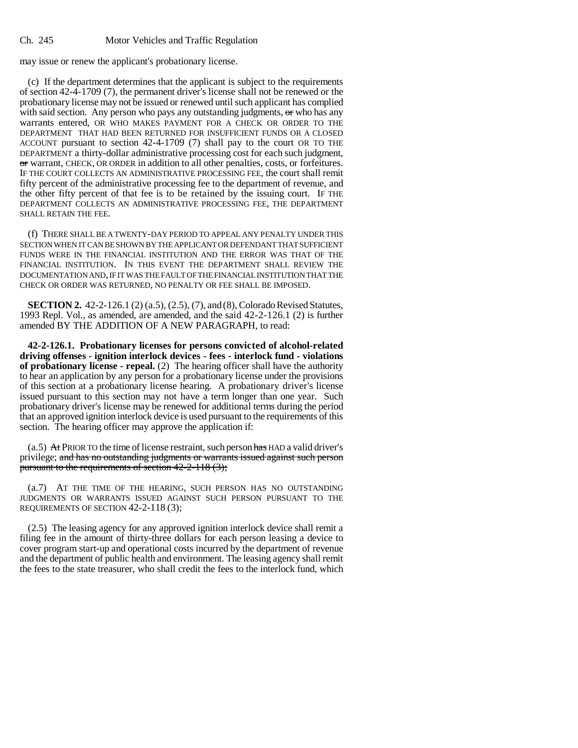may issue or renew the applicant's probationary license.

(c) If the department determines that the applicant is subject to the requirements of section 42-4-1709 (7), the permanent driver's license shall not be renewed or the probationary license may not be issued or renewed until such applicant has complied with said section. Any person who pays any outstanding judgments,  $\sigma$  who has any warrants entered, OR WHO MAKES PAYMENT FOR A CHECK OR ORDER TO THE DEPARTMENT THAT HAD BEEN RETURNED FOR INSUFFICIENT FUNDS OR A CLOSED ACCOUNT pursuant to section 42-4-1709 (7) shall pay to the court OR TO THE DEPARTMENT a thirty-dollar administrative processing cost for each such judgment, or warrant, CHECK, OR ORDER in addition to all other penalties, costs, or forfeitures. IF THE COURT COLLECTS AN ADMINISTRATIVE PROCESSING FEE, the court shall remit fifty percent of the administrative processing fee to the department of revenue, and the other fifty percent of that fee is to be retained by the issuing court. IF THE DEPARTMENT COLLECTS AN ADMINISTRATIVE PROCESSING FEE, THE DEPARTMENT SHALL RETAIN THE FEE.

(f) THERE SHALL BE A TWENTY-DAY PERIOD TO APPEAL ANY PENALTY UNDER THIS SECTION WHEN IT CAN BE SHOWN BY THE APPLICANT OR DEFENDANT THAT SUFFICIENT FUNDS WERE IN THE FINANCIAL INSTITUTION AND THE ERROR WAS THAT OF THE FINANCIAL INSTITUTION. IN THIS EVENT THE DEPARTMENT SHALL REVIEW THE DOCUMENTATION AND, IF IT WAS THE FAULT OF THE FINANCIAL INSTITUTION THAT THE CHECK OR ORDER WAS RETURNED, NO PENALTY OR FEE SHALL BE IMPOSED.

**SECTION 2.** 42-2-126.1 (2) (a.5), (2.5), (7), and (8), Colorado Revised Statutes, 1993 Repl. Vol., as amended, are amended, and the said 42-2-126.1 (2) is further amended BY THE ADDITION OF A NEW PARAGRAPH, to read:

**42-2-126.1. Probationary licenses for persons convicted of alcohol-related driving offenses - ignition interlock devices - fees - interlock fund - violations of probationary license - repeal.** (2) The hearing officer shall have the authority to hear an application by any person for a probationary license under the provisions of this section at a probationary license hearing. A probationary driver's license issued pursuant to this section may not have a term longer than one year. Such probationary driver's license may be renewed for additional terms during the period that an approved ignition interlock device is used pursuant to the requirements of this section. The hearing officer may approve the application if:

(a.5) At PRIOR TO the time of license restraint, such person has HAD a valid driver's privilege; and has no outstanding judgments or warrants issued against such person pursuant to the requirements of section 42-2-118 (3);

(a.7) AT THE TIME OF THE HEARING, SUCH PERSON HAS NO OUTSTANDING JUDGMENTS OR WARRANTS ISSUED AGAINST SUCH PERSON PURSUANT TO THE REQUIREMENTS OF SECTION 42-2-118 (3);

(2.5) The leasing agency for any approved ignition interlock device shall remit a filing fee in the amount of thirty-three dollars for each person leasing a device to cover program start-up and operational costs incurred by the department of revenue and the department of public health and environment. The leasing agency shall remit the fees to the state treasurer, who shall credit the fees to the interlock fund, which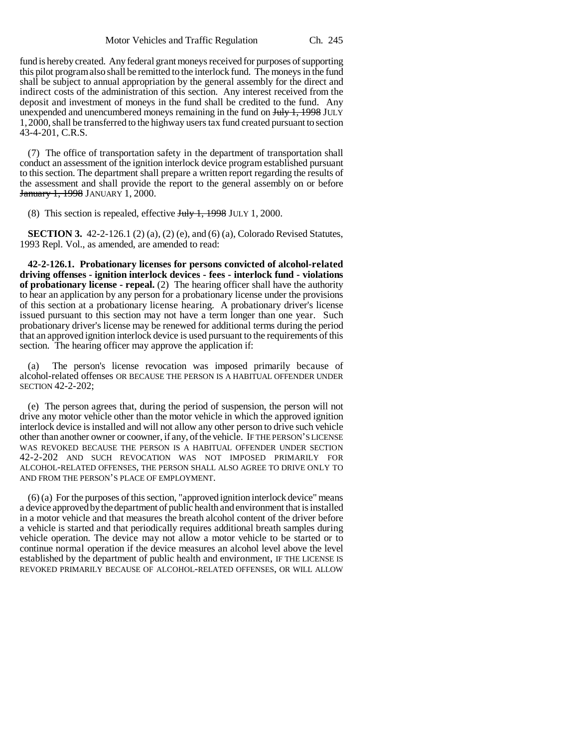fund is hereby created. Any federal grant moneys received for purposes of supporting this pilot program also shall be remitted to the interlock fund. The moneys in the fund shall be subject to annual appropriation by the general assembly for the direct and indirect costs of the administration of this section. Any interest received from the deposit and investment of moneys in the fund shall be credited to the fund. Any unexpended and unencumbered moneys remaining in the fund on  $\frac{\text{H}_y}{\text{H}_y}$  JULY 1,2000, shall be transferred to the highway users tax fund created pursuant to section 43-4-201, C.R.S.

(7) The office of transportation safety in the department of transportation shall conduct an assessment of the ignition interlock device program established pursuant to this section. The department shall prepare a written report regarding the results of the assessment and shall provide the report to the general assembly on or before January 1, 1998 JANUARY 1, 2000.

(8) This section is repealed, effective  $J_{\text{t}}$   $\frac{1}{2}$   $\frac{1}{2}$   $\frac{998}{2}$  JULY 1, 2000.

**SECTION 3.** 42-2-126.1 (2) (a), (2) (e), and (6) (a), Colorado Revised Statutes, 1993 Repl. Vol., as amended, are amended to read:

**42-2-126.1. Probationary licenses for persons convicted of alcohol-related driving offenses - ignition interlock devices - fees - interlock fund - violations of probationary license - repeal.** (2) The hearing officer shall have the authority to hear an application by any person for a probationary license under the provisions of this section at a probationary license hearing. A probationary driver's license issued pursuant to this section may not have a term longer than one year. Such probationary driver's license may be renewed for additional terms during the period that an approved ignition interlock device is used pursuant to the requirements of this section. The hearing officer may approve the application if:

(a) The person's license revocation was imposed primarily because of alcohol-related offenses OR BECAUSE THE PERSON IS A HABITUAL OFFENDER UNDER SECTION 42-2-202;

(e) The person agrees that, during the period of suspension, the person will not drive any motor vehicle other than the motor vehicle in which the approved ignition interlock device is installed and will not allow any other person to drive such vehicle other than another owner or coowner, if any, of the vehicle. IF THE PERSON'S LICENSE WAS REVOKED BECAUSE THE PERSON IS A HABITUAL OFFENDER UNDER SECTION 42-2-202 AND SUCH REVOCATION WAS NOT IMPOSED PRIMARILY FOR ALCOHOL-RELATED OFFENSES, THE PERSON SHALL ALSO AGREE TO DRIVE ONLY TO AND FROM THE PERSON'S PLACE OF EMPLOYMENT.

(6) (a) For the purposes of this section, "approved ignition interlock device" means a device approved by the department of public health and environment that is installed in a motor vehicle and that measures the breath alcohol content of the driver before a vehicle is started and that periodically requires additional breath samples during vehicle operation. The device may not allow a motor vehicle to be started or to continue normal operation if the device measures an alcohol level above the level established by the department of public health and environment, IF THE LICENSE IS REVOKED PRIMARILY BECAUSE OF ALCOHOL-RELATED OFFENSES, OR WILL ALLOW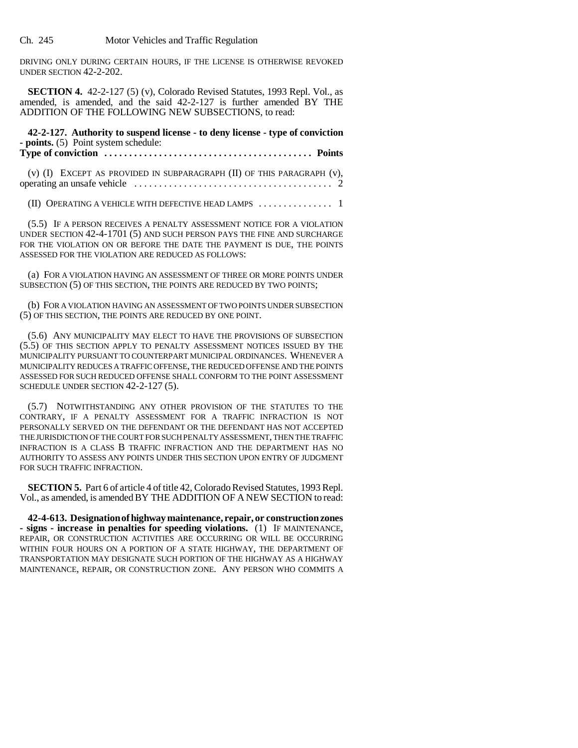Ch. 245 Motor Vehicles and Traffic Regulation

DRIVING ONLY DURING CERTAIN HOURS, IF THE LICENSE IS OTHERWISE REVOKED UNDER SECTION 42-2-202.

**SECTION 4.** 42-2-127 (5) (v), Colorado Revised Statutes, 1993 Repl. Vol., as amended, is amended, and the said 42-2-127 is further amended BY THE ADDITION OF THE FOLLOWING NEW SUBSECTIONS, to read:

**42-2-127. Authority to suspend license - to deny license - type of conviction - points.** (5) Point system schedule:

**Type of conviction . . . . . . . . . . . . . . . . . . . . . . . . . . . . . . . . . . . . . . . . . . Points**

(v) (I) EXCEPT AS PROVIDED IN SUBPARAGRAPH (II) OF THIS PARAGRAPH (v), operating an unsafe vehicle . . . . . . . . . . . . . . . . . . . . . . . . . . . . . . . . . . . . . . . . 2

(II) OPERATING A VEHICLE WITH DEFECTIVE HEAD LAMPS ............... 1

(5.5) IF A PERSON RECEIVES A PENALTY ASSESSMENT NOTICE FOR A VIOLATION UNDER SECTION 42-4-1701 (5) AND SUCH PERSON PAYS THE FINE AND SURCHARGE FOR THE VIOLATION ON OR BEFORE THE DATE THE PAYMENT IS DUE, THE POINTS ASSESSED FOR THE VIOLATION ARE REDUCED AS FOLLOWS:

(a) FOR A VIOLATION HAVING AN ASSESSMENT OF THREE OR MORE POINTS UNDER SUBSECTION (5) OF THIS SECTION, THE POINTS ARE REDUCED BY TWO POINTS;

(b) FOR A VIOLATION HAVING AN ASSESSMENT OF TWO POINTS UNDER SUBSECTION (5) OF THIS SECTION, THE POINTS ARE REDUCED BY ONE POINT.

(5.6) ANY MUNICIPALITY MAY ELECT TO HAVE THE PROVISIONS OF SUBSECTION (5.5) OF THIS SECTION APPLY TO PENALTY ASSESSMENT NOTICES ISSUED BY THE MUNICIPALITY PURSUANT TO COUNTERPART MUNICIPAL ORDINANCES. WHENEVER A MUNICIPALITY REDUCES A TRAFFIC OFFENSE, THE REDUCED OFFENSE AND THE POINTS ASSESSED FOR SUCH REDUCED OFFENSE SHALL CONFORM TO THE POINT ASSESSMENT SCHEDULE UNDER SECTION 42-2-127 (5).

(5.7) NOTWITHSTANDING ANY OTHER PROVISION OF THE STATUTES TO THE CONTRARY, IF A PENALTY ASSESSMENT FOR A TRAFFIC INFRACTION IS NOT PERSONALLY SERVED ON THE DEFENDANT OR THE DEFENDANT HAS NOT ACCEPTED THE JURISDICTION OF THE COURT FOR SUCH PENALTY ASSESSMENT, THEN THE TRAFFIC INFRACTION IS A CLASS B TRAFFIC INFRACTION AND THE DEPARTMENT HAS NO AUTHORITY TO ASSESS ANY POINTS UNDER THIS SECTION UPON ENTRY OF JUDGMENT FOR SUCH TRAFFIC INFRACTION.

**SECTION 5.** Part 6 of article 4 of title 42, Colorado Revised Statutes, 1993 Repl. Vol., as amended, is amended BY THE ADDITION OF A NEW SECTION to read:

**42-4-613. Designation of highway maintenance, repair, or construction zones** REPAIR, OR CONSTRUCTION ACTIVITIES ARE OCCURRING OR WILL BE OCCURRING WITHIN FOUR HOURS ON A PORTION OF A STATE HIGHWAY, THE DEPARTMENT OF TRANSPORTATION MAY DESIGNATE SUCH PORTION OF THE HIGHWAY AS A HIGHWAY MAINTENANCE, REPAIR, OR CONSTRUCTION ZONE. ANY PERSON WHO COMMITS A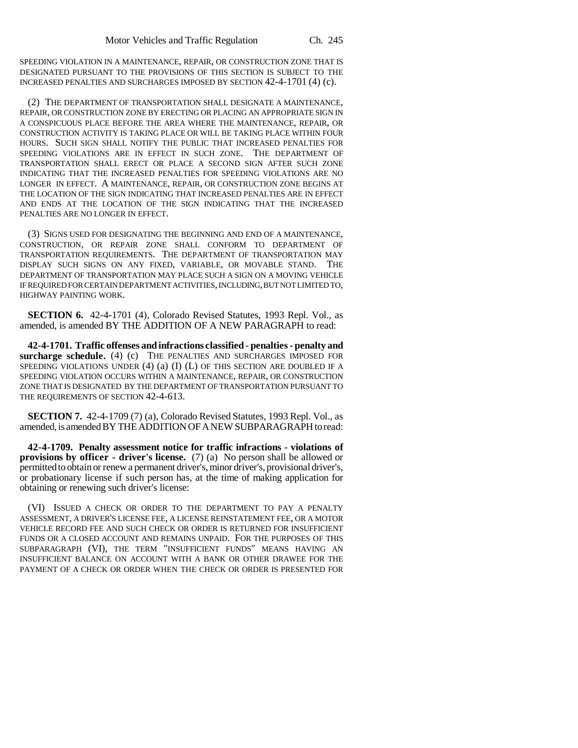SPEEDING VIOLATION IN A MAINTENANCE, REPAIR, OR CONSTRUCTION ZONE THAT IS DESIGNATED PURSUANT TO THE PROVISIONS OF THIS SECTION IS SUBJECT TO THE INCREASED PENALTIES AND SURCHARGES IMPOSED BY SECTION 42-4-1701 (4) (c).

(2) THE DEPARTMENT OF TRANSPORTATION SHALL DESIGNATE A MAINTENANCE, REPAIR, OR CONSTRUCTION ZONE BY ERECTING OR PLACING AN APPROPRIATE SIGN IN A CONSPICUOUS PLACE BEFORE THE AREA WHERE THE MAINTENANCE, REPAIR, OR CONSTRUCTION ACTIVITY IS TAKING PLACE OR WILL BE TAKING PLACE WITHIN FOUR HOURS. SUCH SIGN SHALL NOTIFY THE PUBLIC THAT INCREASED PENALTIES FOR SPEEDING VIOLATIONS ARE IN EFFECT IN SUCH ZONE. THE DEPARTMENT OF TRANSPORTATION SHALL ERECT OR PLACE A SECOND SIGN AFTER SUCH ZONE INDICATING THAT THE INCREASED PENALTIES FOR SPEEDING VIOLATIONS ARE NO LONGER IN EFFECT. A MAINTENANCE, REPAIR, OR CONSTRUCTION ZONE BEGINS AT THE LOCATION OF THE SIGN INDICATING THAT INCREASED PENALTIES ARE IN EFFECT AND ENDS AT THE LOCATION OF THE SIGN INDICATING THAT THE INCREASED PENALTIES ARE NO LONGER IN EFFECT.

(3) SIGNS USED FOR DESIGNATING THE BEGINNING AND END OF A MAINTENANCE, CONSTRUCTION, OR REPAIR ZONE SHALL CONFORM TO DEPARTMENT OF TRANSPORTATION REQUIREMENTS. THE DEPARTMENT OF TRANSPORTATION MAY DISPLAY SUCH SIGNS ON ANY FIXED, VARIABLE, OR MOVABLE STAND. THE DEPARTMENT OF TRANSPORTATION MAY PLACE SUCH A SIGN ON A MOVING VEHICLE IF REQUIRED FOR CERTAIN DEPARTMENT ACTIVITIES, INCLUDING, BUT NOT LIMITED TO, HIGHWAY PAINTING WORK.

**SECTION 6.** 42-4-1701 (4), Colorado Revised Statutes, 1993 Repl. Vol., as amended, is amended BY THE ADDITION OF A NEW PARAGRAPH to read:

**42-4-1701. Traffic offenses and infractions classified - penalties - penalty and surcharge schedule.** (4) (c) THE PENALTIES AND SURCHARGES IMPOSED FOR SPEEDING VIOLATIONS UNDER  $(4)$   $(4)$   $(1)$   $(L)$  OF THIS SECTION ARE DOUBLED IF A SPEEDING VIOLATION OCCURS WITHIN A MAINTENANCE, REPAIR, OR CONSTRUCTION ZONE THAT IS DESIGNATED BY THE DEPARTMENT OF TRANSPORTATION PURSUANT TO THE REQUIREMENTS OF SECTION 42-4-613.

**SECTION 7.** 42-4-1709 (7) (a), Colorado Revised Statutes, 1993 Repl. Vol., as amended, is amended BY THE ADDITION OF A NEW SUBPARAGRAPH to read:

**42-4-1709. Penalty assessment notice for traffic infractions - violations of provisions by officer - driver's license.** (7) (a) No person shall be allowed or permitted to obtain or renew a permanent driver's, minor driver's, provisional driver's, or probationary license if such person has, at the time of making application for obtaining or renewing such driver's license:

(VI) ISSUED A CHECK OR ORDER TO THE DEPARTMENT TO PAY A PENALTY ASSESSMENT, A DRIVER'S LICENSE FEE, A LICENSE REINSTATEMENT FEE, OR A MOTOR VEHICLE RECORD FEE AND SUCH CHECK OR ORDER IS RETURNED FOR INSUFFICIENT FUNDS OR A CLOSED ACCOUNT AND REMAINS UNPAID. FOR THE PURPOSES OF THIS SUBPARAGRAPH (VI), THE TERM "INSUFFICIENT FUNDS" MEANS HAVING AN INSUFFICIENT BALANCE ON ACCOUNT WITH A BANK OR OTHER DRAWEE FOR THE PAYMENT OF A CHECK OR ORDER WHEN THE CHECK OR ORDER IS PRESENTED FOR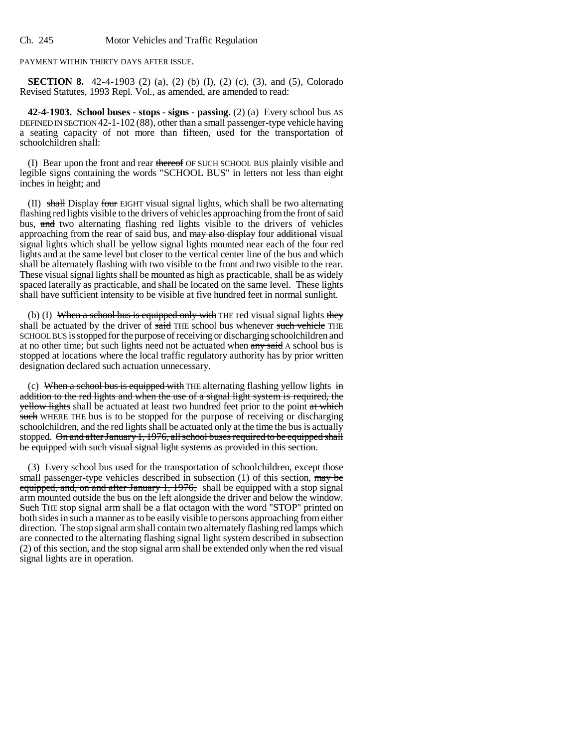PAYMENT WITHIN THIRTY DAYS AFTER ISSUE.

**SECTION 8.** 42-4-1903 (2) (a), (2) (b) (I), (2) (c), (3), and (5), Colorado Revised Statutes, 1993 Repl. Vol., as amended, are amended to read:

**42-4-1903. School buses - stops - signs - passing.** (2) (a) Every school bus AS DEFINED IN SECTION 42-1-102 (88), other than a small passenger-type vehicle having a seating capacity of not more than fifteen, used for the transportation of schoolchildren shall:

(I) Bear upon the front and rear thereof OF SUCH SCHOOL BUS plainly visible and legible signs containing the words "SCHOOL BUS" in letters not less than eight inches in height; and

 $(II)$  shall Display four EIGHT visual signal lights, which shall be two alternating flashing red lights visible to the drivers of vehicles approaching from the front of said bus, and two alternating flashing red lights visible to the drivers of vehicles approaching from the rear of said bus, and may also display four additional visual signal lights which shall be yellow signal lights mounted near each of the four red lights and at the same level but closer to the vertical center line of the bus and which shall be alternately flashing with two visible to the front and two visible to the rear. These visual signal lights shall be mounted as high as practicable, shall be as widely spaced laterally as practicable, and shall be located on the same level. These lights shall have sufficient intensity to be visible at five hundred feet in normal sunlight.

(b) (I) When a school bus is equipped only with THE red visual signal lights they shall be actuated by the driver of said THE school bus whenever such vehicle THE SCHOOL BUS is stopped for the purpose of receiving or discharging schoolchildren and at no other time; but such lights need not be actuated when any said A school bus is stopped at locations where the local traffic regulatory authority has by prior written designation declared such actuation unnecessary.

(c) When a school bus is equipped with THE alternating flashing yellow lights in addition to the red lights and when the use of a signal light system is required, the yellow lights shall be actuated at least two hundred feet prior to the point at which such WHERE THE bus is to be stopped for the purpose of receiving or discharging schoolchildren, and the red lights shall be actuated only at the time the bus is actually stopped. On and after January 1, 1976, all school buses required to be equipped shall be equipped with such visual signal light systems as provided in this section.

(3) Every school bus used for the transportation of schoolchildren, except those small passenger-type vehicles described in subsection  $(1)$  of this section,  $\frac{may}{may}$ equipped, and, on and after January 1, 1976, shall be equipped with a stop signal arm mounted outside the bus on the left alongside the driver and below the window. Such THE stop signal arm shall be a flat octagon with the word "STOP" printed on both sides in such a manner as to be easily visible to persons approaching from either direction. The stop signal arm shall contain two alternately flashing red lamps which are connected to the alternating flashing signal light system described in subsection (2) of this section, and the stop signal arm shall be extended only when the red visual signal lights are in operation.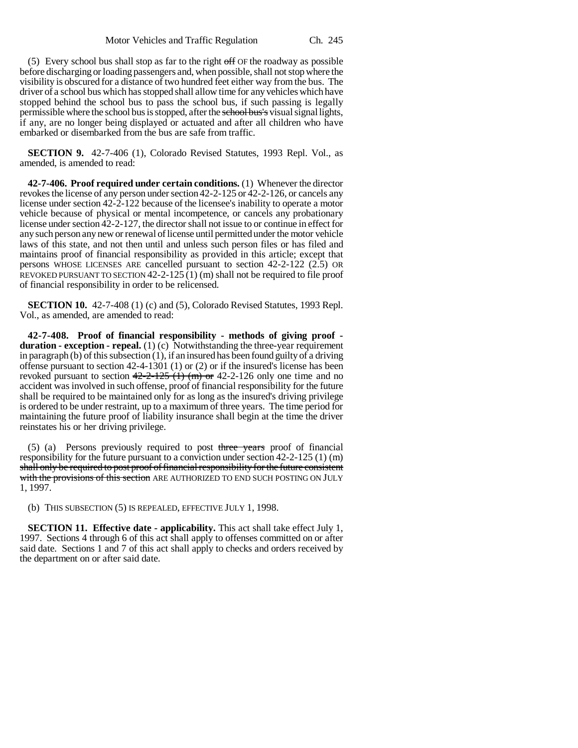$(5)$  Every school bus shall stop as far to the right of OF the roadway as possible before discharging or loading passengers and, when possible, shall not stop where the visibility is obscured for a distance of two hundred feet either way from the bus. The driver of a school bus which has stopped shall allow time for any vehicles which have stopped behind the school bus to pass the school bus, if such passing is legally permissible where the school bus is stopped, after the school bus's visual signal lights, if any, are no longer being displayed or actuated and after all children who have embarked or disembarked from the bus are safe from traffic.

**SECTION 9.** 42-7-406 (1), Colorado Revised Statutes, 1993 Repl. Vol., as amended, is amended to read:

**42-7-406. Proof required under certain conditions.** (1) Whenever the director revokes the license of any person under section 42-2-125 or 42-2-126, or cancels any license under section 42-2-122 because of the licensee's inability to operate a motor vehicle because of physical or mental incompetence, or cancels any probationary license under section 42-2-127, the director shall not issue to or continue in effect for any such person any new or renewal of license until permitted under the motor vehicle laws of this state, and not then until and unless such person files or has filed and maintains proof of financial responsibility as provided in this article; except that persons WHOSE LICENSES ARE cancelled pursuant to section 42-2-122 (2.5) OR REVOKED PURSUANT TO SECTION 42-2-125  $(1)$  (m) shall not be required to file proof of financial responsibility in order to be relicensed.

**SECTION 10.** 42-7-408 (1) (c) and (5), Colorado Revised Statutes, 1993 Repl. Vol., as amended, are amended to read:

**42-7-408. Proof of financial responsibility - methods of giving proof duration - exception - repeal.** (1) (c) Notwithstanding the three-year requirement in paragraph (b) of this subsection (1), if an insured has been found guilty of a driving offense pursuant to section  $42-4-1301$  (1) or (2) or if the insured's license has been revoked pursuant to section  $42-2-125$  (1) (m) or 42-2-126 only one time and no accident was involved in such offense, proof of financial responsibility for the future shall be required to be maintained only for as long as the insured's driving privilege is ordered to be under restraint, up to a maximum of three years. The time period for maintaining the future proof of liability insurance shall begin at the time the driver reinstates his or her driving privilege.

 $(5)$  (a) Persons previously required to post three years proof of financial responsibility for the future pursuant to a conviction under section 42-2-125 (1) (m) shall only be required to post proof of financial responsibility for the future consistent with the provisions of this section ARE AUTHORIZED TO END SUCH POSTING ON JULY 1, 1997.

(b) THIS SUBSECTION (5) IS REPEALED, EFFECTIVE JULY 1, 1998.

**SECTION 11. Effective date - applicability.** This act shall take effect July 1, 1997. Sections 4 through 6 of this act shall apply to offenses committed on or after said date. Sections 1 and 7 of this act shall apply to checks and orders received by the department on or after said date.